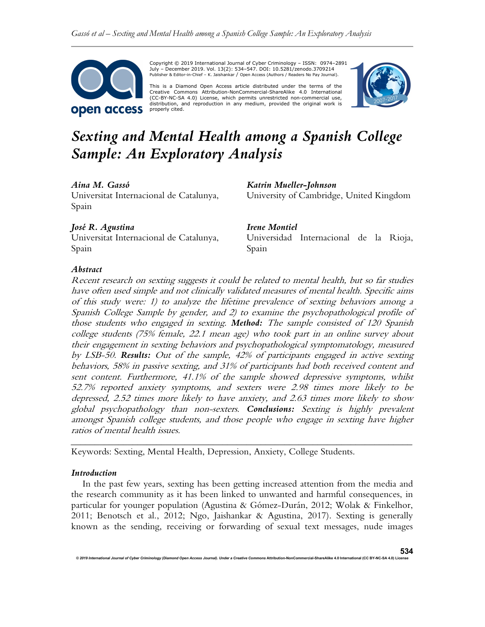

Copyright © 2019 International Journal of Cyber Criminology – ISSN: 0974–2891 July – December 2019. Vol. 13(2): 534–547. DOI: 10.5281/zenodo.3709214 Publisher & Editor-in-Chief – K. Jaishankar / Open Access (Authors / Readers No Pay Journal).

This is a Diamond Open Access article distributed under the terms of the Creative Commons Attribution-NonCommercial-ShareAlike 4.0 International (CC-BY-NC-SA 4.0) License, which permits unrestricted non-commercial use, distribution, and reproduction in any medium, provided the original work is properly cited.



# Sexting and Mental Health among a Spanish College Sample: An Exploratory Analysis

# Aina M. Gassó

Universitat Internacional de Catalunya, Spain

# José R. Agustina

Universitat Internacional de Catalunya, Spain

Katrin Mueller-Johnson University of Cambridge, United Kingdom

Irene Montiel Universidad Internacional de la Rioja, Spain

## Abstract

Recent research on sexting suggests it could be related to mental health, but so far studies have often used simple and not clinically validated measures of mental health. Specific aims of this study were: 1) to analyze the lifetime prevalence of sexting behaviors among a Spanish College Sample by gender, and 2) to examine the psychopathological profile of those students who engaged in sexting. Method: The sample consisted of 120 Spanish college students (75% female, 22.1 mean age) who took part in an online survey about their engagement in sexting behaviors and psychopathological symptomatology, measured by LSB-50. Results: Out of the sample, 42% of participants engaged in active sexting behaviors, 58% in passive sexting, and 31% of participants had both received content and sent content. Furthermore, 41.1% of the sample showed depressive symptoms, whilst 52.7% reported anxiety symptoms, and sexters were 2.98 times more likely to be depressed, 2.52 times more likely to have anxiety, and 2.63 times more likely to show global psychopathology than non-sexters. Conclusions: Sexting is highly prevalent amongst Spanish college students, and those people who engage in sexting have higher ratios of mental health issues.

Keywords: Sexting, Mental Health, Depression, Anxiety, College Students.

# Introduction

In the past few years, sexting has been getting increased attention from the media and the research community as it has been linked to unwanted and harmful consequences, in particular for younger population (Agustina & Gómez-Durán, 2012; Wolak & Finkelhor, 2011; Benotsch et al., 2012; Ngo, Jaishankar & Agustina, 2017). Sexting is generally known as the sending, receiving or forwarding of sexual text messages, nude images

\_\_\_\_\_\_\_\_\_\_\_\_\_\_\_\_\_\_\_\_\_\_\_\_\_\_\_\_\_\_\_\_\_\_\_\_\_\_\_\_\_\_\_\_\_\_\_\_\_\_\_\_\_\_\_\_\_\_\_\_\_\_\_\_\_\_\_\_\_\_\_\_

© 2019 International Journal of Cyber Criminology (Diamond Open Access Journal). Under a Creative Commons Attribution-NonCommercial-ShareAlike 4.0 International (CC BY-NC-SA 4.0)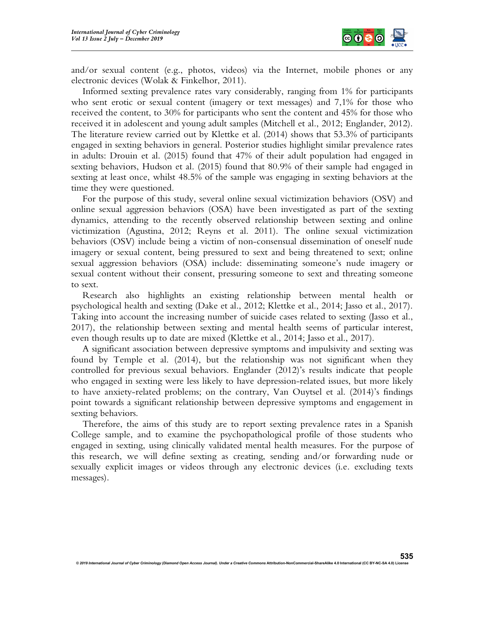

and/or sexual content (e.g., photos, videos) via the Internet, mobile phones or any electronic devices (Wolak & Finkelhor, 2011).

Informed sexting prevalence rates vary considerably, ranging from 1% for participants who sent erotic or sexual content (imagery or text messages) and 7,1% for those who received the content, to 30% for participants who sent the content and 45% for those who received it in adolescent and young adult samples (Mitchell et al., 2012; Englander, 2012). The literature review carried out by Klettke et al. (2014) shows that 53.3% of participants engaged in sexting behaviors in general. Posterior studies highlight similar prevalence rates in adults: Drouin et al. (2015) found that 47% of their adult population had engaged in sexting behaviors, Hudson et al. (2015) found that 80.9% of their sample had engaged in sexting at least once, whilst 48.5% of the sample was engaging in sexting behaviors at the time they were questioned.

For the purpose of this study, several online sexual victimization behaviors (OSV) and online sexual aggression behaviors (OSA) have been investigated as part of the sexting dynamics, attending to the recently observed relationship between sexting and online victimization (Agustina, 2012; Reyns et al. 2011). The online sexual victimization behaviors (OSV) include being a victim of non-consensual dissemination of oneself nude imagery or sexual content, being pressured to sext and being threatened to sext; online sexual aggression behaviors (OSA) include: disseminating someone's nude imagery or sexual content without their consent, pressuring someone to sext and threating someone to sext.

Research also highlights an existing relationship between mental health or psychological health and sexting (Dake et al., 2012; Klettke et al., 2014; Jasso et al., 2017). Taking into account the increasing number of suicide cases related to sexting (Jasso et al., 2017), the relationship between sexting and mental health seems of particular interest, even though results up to date are mixed (Klettke et al., 2014; Jasso et al., 2017).

A significant association between depressive symptoms and impulsivity and sexting was found by Temple et al. (2014), but the relationship was not significant when they controlled for previous sexual behaviors. Englander (2012)'s results indicate that people who engaged in sexting were less likely to have depression-related issues, but more likely to have anxiety-related problems; on the contrary, Van Ouytsel et al. (2014)'s findings point towards a significant relationship between depressive symptoms and engagement in sexting behaviors.

Therefore, the aims of this study are to report sexting prevalence rates in a Spanish College sample, and to examine the psychopathological profile of those students who engaged in sexting, using clinically validated mental health measures. For the purpose of this research, we will define sexting as creating, sending and/or forwarding nude or sexually explicit images or videos through any electronic devices (i.e. excluding texts messages).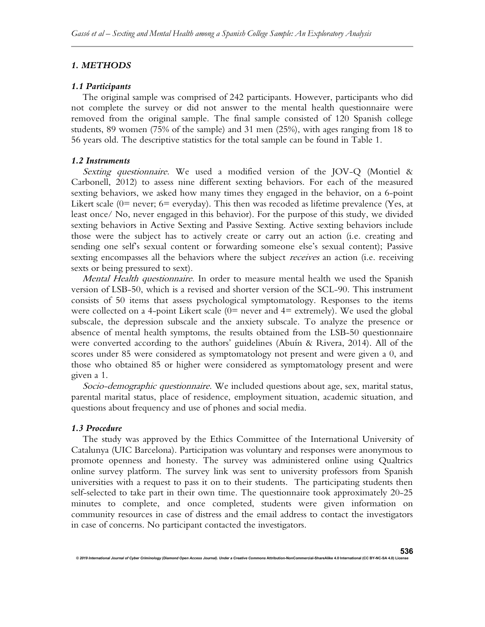# 1. METHODS

## 1.1 Participants

The original sample was comprised of 242 participants. However, participants who did not complete the survey or did not answer to the mental health questionnaire were removed from the original sample. The final sample consisted of 120 Spanish college students, 89 women (75% of the sample) and 31 men (25%), with ages ranging from 18 to 56 years old. The descriptive statistics for the total sample can be found in Table 1.

## 1.2 Instruments

Sexting questionnaire. We used a modified version of the JOV-Q (Montiel  $\&$ Carbonell, 2012) to assess nine different sexting behaviors. For each of the measured sexting behaviors, we asked how many times they engaged in the behavior, on a 6-point Likert scale  $(0=$  never;  $6=$  everyday). This then was recoded as lifetime prevalence (Yes, at least once/ No, never engaged in this behavior). For the purpose of this study, we divided sexting behaviors in Active Sexting and Passive Sexting. Active sexting behaviors include those were the subject has to actively create or carry out an action (i.e. creating and sending one self's sexual content or forwarding someone else's sexual content); Passive sexting encompasses all the behaviors where the subject *receives* an action (i.e. receiving sexts or being pressured to sext).

Mental Health questionnaire. In order to measure mental health we used the Spanish version of LSB-50, which is a revised and shorter version of the SCL-90. This instrument consists of 50 items that assess psychological symptomatology. Responses to the items were collected on a 4-point Likert scale  $(0=$  never and  $4=$  extremely). We used the global subscale, the depression subscale and the anxiety subscale. To analyze the presence or absence of mental health symptoms, the results obtained from the LSB-50 questionnaire were converted according to the authors' guidelines (Abuín & Rivera, 2014). All of the scores under 85 were considered as symptomatology not present and were given a 0, and those who obtained 85 or higher were considered as symptomatology present and were given a 1.

Socio-demographic questionnaire. We included questions about age, sex, marital status, parental marital status, place of residence, employment situation, academic situation, and questions about frequency and use of phones and social media.

## 1.3 Procedure

The study was approved by the Ethics Committee of the International University of Catalunya (UIC Barcelona). Participation was voluntary and responses were anonymous to promote openness and honesty. The survey was administered online using Qualtrics online survey platform. The survey link was sent to university professors from Spanish universities with a request to pass it on to their students. The participating students then self-selected to take part in their own time. The questionnaire took approximately 20-25 minutes to complete, and once completed, students were given information on community resources in case of distress and the email address to contact the investigators in case of concerns. No participant contacted the investigators.

© 2019 International Journal of Cyber Criminology (Diamond Open Access Journal). Under a Creative Com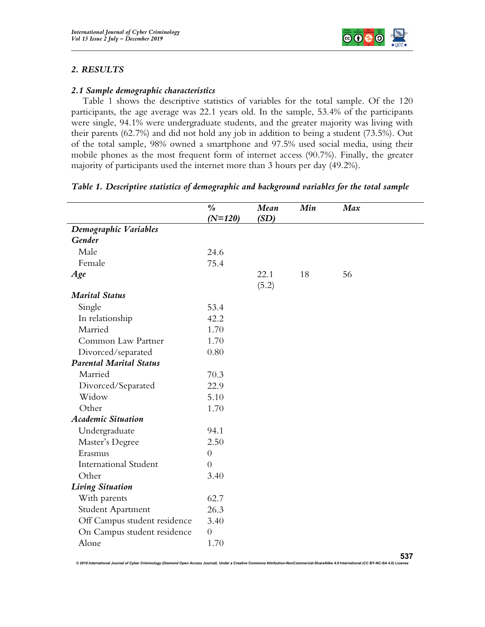

# 2. RESULTS

# 2.1 Sample demographic characteristics

Table 1 shows the descriptive statistics of variables for the total sample. Of the 120 participants, the age average was 22.1 years old. In the sample, 53.4% of the participants were single, 94.1% were undergraduate students, and the greater majority was living with their parents (62.7%) and did not hold any job in addition to being a student (73.5%). Out of the total sample, 98% owned a smartphone and 97.5% used social media, using their mobile phones as the most frequent form of internet access (90.7%). Finally, the greater majority of participants used the internet more than 3 hours per day (49.2%).

|                                | $\frac{\partial}{\partial \theta}$<br>$(N=120)$ | Mean<br>(SD) | Min | Max |
|--------------------------------|-------------------------------------------------|--------------|-----|-----|
| Demographic Variables          |                                                 |              |     |     |
| Gender                         |                                                 |              |     |     |
| Male                           | 24.6                                            |              |     |     |
| Female                         | 75.4                                            |              |     |     |
| Age                            |                                                 | 22.1         | 18  | 56  |
|                                |                                                 | (5.2)        |     |     |
| <b>Marital Status</b>          |                                                 |              |     |     |
| Single                         | 53.4                                            |              |     |     |
| In relationship                | 42.2                                            |              |     |     |
| Married                        | 1.70                                            |              |     |     |
| Common Law Partner             | 1.70                                            |              |     |     |
| Divorced/separated             | 0.80                                            |              |     |     |
| <b>Parental Marital Status</b> |                                                 |              |     |     |
| Married                        | 70.3                                            |              |     |     |
| Divorced/Separated             | 22.9                                            |              |     |     |
| Widow                          | 5.10                                            |              |     |     |
| Other                          | 1.70                                            |              |     |     |
| <b>Academic Situation</b>      |                                                 |              |     |     |
| Undergraduate                  | 94.1                                            |              |     |     |
| Master's Degree                | 2.50                                            |              |     |     |
| Erasmus                        | $\boldsymbol{0}$                                |              |     |     |
| <b>International Student</b>   | $\overline{0}$                                  |              |     |     |
| Other                          | 3.40                                            |              |     |     |
| <b>Living Situation</b>        |                                                 |              |     |     |
| With parents                   | 62.7                                            |              |     |     |
| Student Apartment              | 26.3                                            |              |     |     |
| Off Campus student residence   | 3.40                                            |              |     |     |
| On Campus student residence    | $\overline{0}$                                  |              |     |     |
| Alone                          | 1.70                                            |              |     |     |

## Table 1. Descriptive statistics of demographic and background variables for the total sample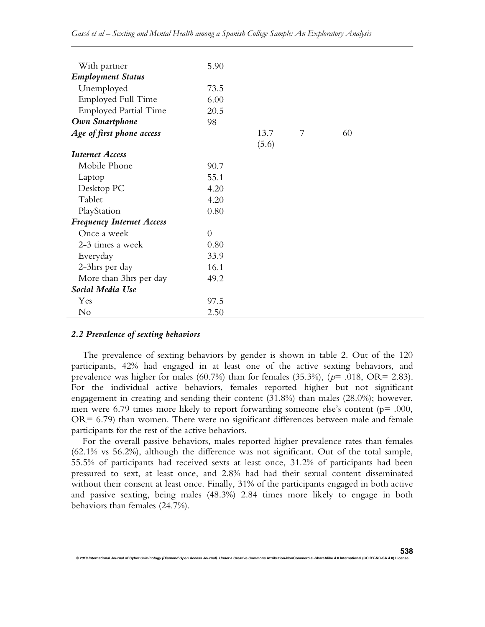| With partner                     | 5.90     |       |   |    |
|----------------------------------|----------|-------|---|----|
| <b>Employment Status</b>         |          |       |   |    |
| Unemployed                       | 73.5     |       |   |    |
| Employed Full Time               | 6.00     |       |   |    |
| <b>Employed Partial Time</b>     | 20.5     |       |   |    |
| Own Smartphone                   | 98       |       |   |    |
| Age of first phone access        |          | 13.7  | 7 | 60 |
|                                  |          | (5.6) |   |    |
| <b>Internet Access</b>           |          |       |   |    |
| Mobile Phone                     | 90.7     |       |   |    |
| Laptop                           | 55.1     |       |   |    |
| Desktop PC                       | 4.20     |       |   |    |
| Tablet                           | 4.20     |       |   |    |
| PlayStation                      | 0.80     |       |   |    |
| <b>Frequency Internet Access</b> |          |       |   |    |
| Once a week                      | $\Omega$ |       |   |    |
| 2-3 times a week                 | 0.80     |       |   |    |
| Everyday                         | 33.9     |       |   |    |
| 2-3hrs per day                   | 16.1     |       |   |    |
| More than 3hrs per day           | 49.2     |       |   |    |
| Social Media Use                 |          |       |   |    |
| Yes                              | 97.5     |       |   |    |
| No                               | 2.50     |       |   |    |

#### 2.2 Prevalence of sexting behaviors

© 2019 International Journal of Cyber Criminology (Diamond Open Access Journal). Under a Creative Comn

The prevalence of sexting behaviors by gender is shown in table 2. Out of the 120 participants, 42% had engaged in at least one of the active sexting behaviors, and prevalence was higher for males (60.7%) than for females (35.3%), ( $p$ = .018, OR= 2.83). For the individual active behaviors, females reported higher but not significant engagement in creating and sending their content (31.8%) than males (28.0%); however, men were 6.79 times more likely to report forwarding someone else's content (p= .000,  $OR = 6.79$ ) than women. There were no significant differences between male and female participants for the rest of the active behaviors.

For the overall passive behaviors, males reported higher prevalence rates than females (62.1% vs 56.2%), although the difference was not significant. Out of the total sample, 55.5% of participants had received sexts at least once, 31.2% of participants had been pressured to sext, at least once, and 2.8% had had their sexual content disseminated without their consent at least once. Finally, 31% of the participants engaged in both active and passive sexting, being males (48.3%) 2.84 times more likely to engage in both behaviors than females (24.7%).

538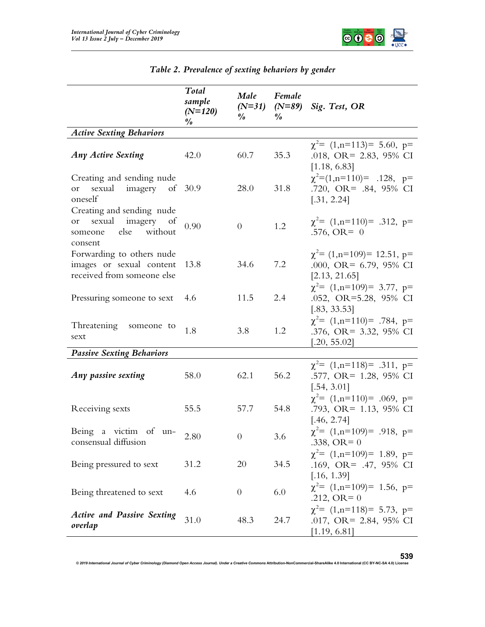

|                                                                                            | Total<br>sample<br>$(N=120)$<br>$\frac{\theta}{\theta}$ | Male<br>$(N=31)$<br>$\frac{\partial}{\partial \theta}$ | Female<br>$(N=89)$<br>$\frac{a}{c}$ | Sig. Test, OR                                                                     |
|--------------------------------------------------------------------------------------------|---------------------------------------------------------|--------------------------------------------------------|-------------------------------------|-----------------------------------------------------------------------------------|
| <b>Active Sexting Behaviors</b>                                                            |                                                         |                                                        |                                     |                                                                                   |
| <b>Any Active Sexting</b>                                                                  | 42.0                                                    | 60.7                                                   | 35.3                                | $\chi^2$ = (1,n=113) = 5.60, p=<br>.018, OR= 2.83, 95% CI<br>[1.18, 6.83]         |
| Creating and sending nude<br>sexual imagery of 30.9<br>or<br>oneself                       |                                                         | 28.0                                                   | 31.8                                | $\chi^2 = (1, n = 110) = .128, p =$<br>.720, OR= .84, 95% CI<br>[.31, 2.24]       |
| Creating and sending nude<br>sexual imagery of<br>or<br>else without<br>someone<br>consent | 0.90                                                    | $\overline{0}$                                         | 1.2                                 | $\chi^2$ = (1,n=110) = .312, p=<br>.576, OR= $0$                                  |
| Forwarding to others nude<br>images or sexual content<br>received from someone else        | 13.8                                                    | 34.6                                                   | 7.2                                 | $\chi^2$ = (1,n=109) = 12.51, p=<br>.000, OR= $6.79$ , $95\%$ CI<br>[2.13, 21.65] |
| Pressuring someone to sext                                                                 | 4.6                                                     | 11.5                                                   | 2.4                                 | $\chi^2$ = (1,n=109) = 3.77, p=<br>.052, OR=5.28, 95% CI<br>[.83, 33.53]          |
| Threatening someone to<br>sext                                                             | 1.8                                                     | 3.8                                                    | 1.2                                 | $\chi^2$ = (1,n=110) = .784, p=<br>.376, OR= 3.32, 95% CI<br>[.20, 55.02]         |
| <b>Passive Sexting Behaviors</b>                                                           |                                                         |                                                        |                                     |                                                                                   |
| Any passive sexting                                                                        | 58.0                                                    | 62.1                                                   | 56.2                                | $\chi^2$ = (1,n=118) = .311, p=<br>.577, OR= 1.28, 95% CI<br>[.54, 3.01]          |
| Receiving sexts                                                                            | 55.5                                                    | 57.7                                                   | 54.8                                | $\chi^2$ = (1,n=110) = .069, p=<br>.793, OR= 1.13, 95% CI<br>[.46, 2.74]          |
| Being a victim of un-<br>consensual diffusion                                              | $2.80\,$                                                | $\overline{0}$                                         | 3.6                                 | $\chi^2$ = (1,n=109) = .918, p=<br>.338, OR = $0$                                 |
| Being pressured to sext                                                                    | 31.2                                                    | 20                                                     | 34.5                                | $\chi^2$ = (1,n=109) = 1.89, p=<br>.169, OR= .47, 95% CI<br>[.16, 1.39]           |
| Being threatened to sext                                                                   | 4.6                                                     | $\theta$                                               | 6.0                                 | $\chi^2$ = (1,n=109) = 1.56, p=<br>$.212, OR = 0$                                 |
| <b>Active and Passive Sexting</b><br>overlap                                               | 31.0                                                    | 48.3                                                   | 24.7                                | $\chi^2$ = (1,n=118) = 5.73, p=<br>.017, OR= 2.84, 95% CI<br>[1.19, 6.81]         |

| Table 2. Prevalence of sexting behaviors by gender |  |  |  |
|----------------------------------------------------|--|--|--|
|                                                    |  |  |  |

© 2019 International Journal of Cyber Criminology (Diamond Open Access Journal). Under a Creative Commons Attribution-NonCommercial-ShareAlike 4.0 International (CC BY-NC-SA 4.0) License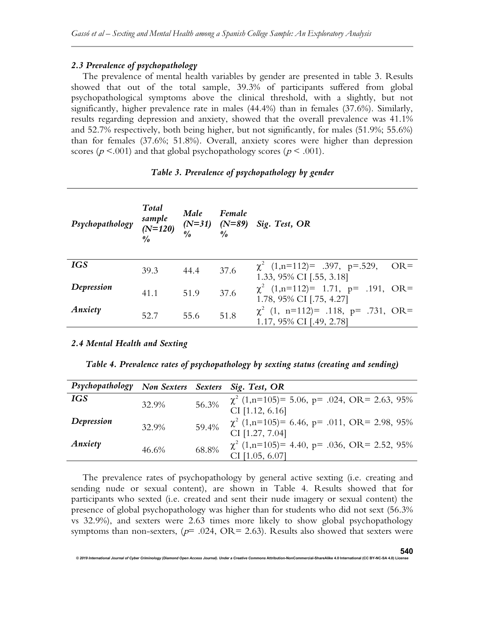## 2.3 Prevalence of psychopathology

The prevalence of mental health variables by gender are presented in table 3. Results showed that out of the total sample, 39.3% of participants suffered from global psychopathological symptoms above the clinical threshold, with a slightly, but not significantly, higher prevalence rate in males (44.4%) than in females (37.6%). Similarly, results regarding depression and anxiety, showed that the overall prevalence was 41.1% and 52.7% respectively, both being higher, but not significantly, for males (51.9%; 55.6%) than for females (37.6%; 51.8%). Overall, anxiety scores were higher than depression scores ( $p < .001$ ) and that global psychopathology scores ( $p < .001$ ).

## Table 3. Prevalence of psychopathology by gender

| Psychopathology | Total<br>sample<br>$(N=120)$<br>$\theta$ | Male<br>$\frac{\theta}{a}$ | Female<br>$\theta$ / $\theta$ | $(N=31)$ $(N=89)$ Sig. Test, OR                                         |
|-----------------|------------------------------------------|----------------------------|-------------------------------|-------------------------------------------------------------------------|
| <b>IGS</b>      | 39.3                                     | 44.4                       | 37.6                          | $\chi^2$ (1,n=112)= .397, p=.529,<br>$OR =$<br>1.33, 95% CI [.55, 3.18] |
| Depression      | 41.1                                     | 51.9                       | 37.6                          | $\chi^2$ (1,n=112)= 1.71, p= .191, OR=<br>1.78, 95% CI [.75, 4.27]      |
| Anxiety         | 52.7                                     | 55.6                       | 51.8                          | $\chi^2$ (1, n=112)= .118, p= .731, OR=<br>1.17, 95% CI [.49, 2.78]     |

## 2.4 Mental Health and Sexting

Table 4. Prevalence rates of psychopathology by sexting status (creating and sending)

| Psychopathology |       |       | Non Sexters Sexters Sig. Test, OR                                     |
|-----------------|-------|-------|-----------------------------------------------------------------------|
| <b>IGS</b>      | 32.9% | 56.3% | $\chi^2$ (1,n=105)= 5.06, p= .024, OR= 2.63, 95%                      |
|                 |       |       | $CI$ [1.12, 6.16]                                                     |
| Depression      | 32.9% | 59.4% | $\chi^2$ (1,n=105)= 6.46, p= .011, OR= 2.98, 95%<br>CI [1.27, 7.04]   |
| Anxiety         | 46.6% | 68.8% | $\chi^2$ (1,n=105)= 4.40, p= .036, OR= 2.52, 95%<br>CI $[1.05, 6.07]$ |

The prevalence rates of psychopathology by general active sexting (i.e. creating and sending nude or sexual content), are shown in Table 4. Results showed that for participants who sexted (i.e. created and sent their nude imagery or sexual content) the presence of global psychopathology was higher than for students who did not sext (56.3% vs 32.9%), and sexters were 2.63 times more likely to show global psychopathology symptoms than non-sexters, ( $p$ = .024, OR= 2.63). Results also showed that sexters were

enal of Cyber Criminology (Diamond Open Access Journal). Under a Creative Commons Attribution-Noncommercial-Share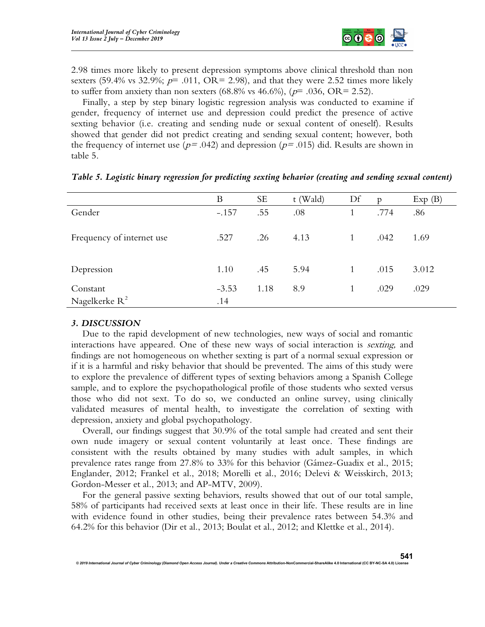

2.98 times more likely to present depression symptoms above clinical threshold than non sexters (59.4% vs 32.9%;  $p=$  .011, OR= 2.98), and that they were 2.52 times more likely to suffer from anxiety than non sexters (68.8% vs 46.6%), ( $p$ = .036, OR= 2.52).

Finally, a step by step binary logistic regression analysis was conducted to examine if gender, frequency of internet use and depression could predict the presence of active sexting behavior (i.e. creating and sending nude or sexual content of oneself). Results showed that gender did not predict creating and sending sexual content; however, both the frequency of internet use ( $p = .042$ ) and depression ( $p = .015$ ) did. Results are shown in table 5.

|                           | B       | <b>SE</b> | t (Wald) | Df | $\mathfrak{p}$ | Exp(B) |
|---------------------------|---------|-----------|----------|----|----------------|--------|
| Gender                    | $-.157$ | .55       | .08      |    | .774           | .86    |
|                           |         |           |          |    |                |        |
| Frequency of internet use | .527    | .26       | 4.13     |    | .042           | 1.69   |
|                           |         |           |          |    |                |        |
|                           |         |           | 5.94     |    |                |        |
| Depression                | 1.10    | .45       |          |    | .015           | 3.012  |
| Constant                  | $-3.53$ | 1.18      | 8.9      |    | .029           | .029   |
| Nagelkerke $R^2$          | .14     |           |          |    |                |        |

|  |  |  | Table 5. Logistic binary regression for predicting sexting behavior (creating and sending sexual content) |  |  |  |  |  |  |  |  |  |
|--|--|--|-----------------------------------------------------------------------------------------------------------|--|--|--|--|--|--|--|--|--|
|--|--|--|-----------------------------------------------------------------------------------------------------------|--|--|--|--|--|--|--|--|--|

## 3. DISCUSSION

Due to the rapid development of new technologies, new ways of social and romantic interactions have appeared. One of these new ways of social interaction is *sexting*, and findings are not homogeneous on whether sexting is part of a normal sexual expression or if it is a harmful and risky behavior that should be prevented. The aims of this study were to explore the prevalence of different types of sexting behaviors among a Spanish College sample, and to explore the psychopathological profile of those students who sexted versus those who did not sext. To do so, we conducted an online survey, using clinically validated measures of mental health, to investigate the correlation of sexting with depression, anxiety and global psychopathology.

Overall, our findings suggest that 30.9% of the total sample had created and sent their own nude imagery or sexual content voluntarily at least once. These findings are consistent with the results obtained by many studies with adult samples, in which prevalence rates range from 27.8% to 33% for this behavior (Gámez-Guadix et al., 2015; Englander, 2012; Frankel et al., 2018; Morelli et al., 2016; Delevi & Weisskirch, 2013; Gordon-Messer et al., 2013; and AP-MTV, 2009).

For the general passive sexting behaviors, results showed that out of our total sample, 58% of participants had received sexts at least once in their life. These results are in line with evidence found in other studies, being their prevalence rates between 54.3% and 64.2% for this behavior (Dir et al., 2013; Boulat et al., 2012; and Klettke et al., 2014).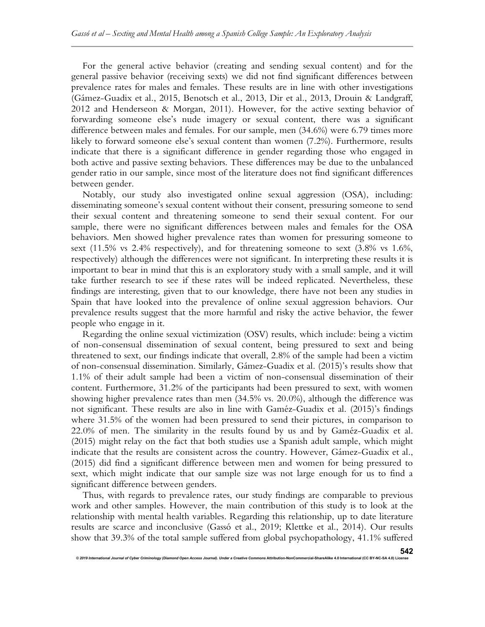For the general active behavior (creating and sending sexual content) and for the general passive behavior (receiving sexts) we did not find significant differences between prevalence rates for males and females. These results are in line with other investigations (Gámez-Guadix et al., 2015, Benotsch et al., 2013, Dir et al., 2013, Drouin & Landgraff, 2012 and Henderseon & Morgan, 2011). However, for the active sexting behavior of forwarding someone else's nude imagery or sexual content, there was a significant difference between males and females. For our sample, men (34.6%) were 6.79 times more likely to forward someone else's sexual content than women (7.2%). Furthermore, results indicate that there is a significant difference in gender regarding those who engaged in both active and passive sexting behaviors. These differences may be due to the unbalanced gender ratio in our sample, since most of the literature does not find significant differences between gender.

Notably, our study also investigated online sexual aggression (OSA), including: disseminating someone's sexual content without their consent, pressuring someone to send their sexual content and threatening someone to send their sexual content. For our sample, there were no significant differences between males and females for the OSA behaviors. Men showed higher prevalence rates than women for pressuring someone to sext (11.5% vs 2.4% respectively), and for threatening someone to sext (3.8% vs 1.6%, respectively) although the differences were not significant. In interpreting these results it is important to bear in mind that this is an exploratory study with a small sample, and it will take further research to see if these rates will be indeed replicated. Nevertheless, these findings are interesting, given that to our knowledge, there have not been any studies in Spain that have looked into the prevalence of online sexual aggression behaviors. Our prevalence results suggest that the more harmful and risky the active behavior, the fewer people who engage in it.

Regarding the online sexual victimization (OSV) results, which include: being a victim of non-consensual dissemination of sexual content, being pressured to sext and being threatened to sext, our findings indicate that overall, 2.8% of the sample had been a victim of non-consensual dissemination. Similarly, Gámez-Guadix et al. (2015)'s results show that 1.1% of their adult sample had been a victim of non-consensual dissemination of their content. Furthermore, 31.2% of the participants had been pressured to sext, with women showing higher prevalence rates than men (34.5% vs. 20.0%), although the difference was not significant. These results are also in line with Gaméz-Guadix et al. (2015)'s findings where 31.5% of the women had been pressured to send their pictures, in comparison to 22.0% of men. The similarity in the results found by us and by Gaméz-Guadix et al. (2015) might relay on the fact that both studies use a Spanish adult sample, which might indicate that the results are consistent across the country. However, Gámez-Guadix et al., (2015) did find a significant difference between men and women for being pressured to sext, which might indicate that our sample size was not large enough for us to find a significant difference between genders.

Thus, with regards to prevalence rates, our study findings are comparable to previous work and other samples. However, the main contribution of this study is to look at the relationship with mental health variables. Regarding this relationship, up to date literature results are scarce and inconclusive (Gassó et al., 2019; Klettke et al., 2014). Our results show that 39.3% of the total sample suffered from global psychopathology, 41.1% suffered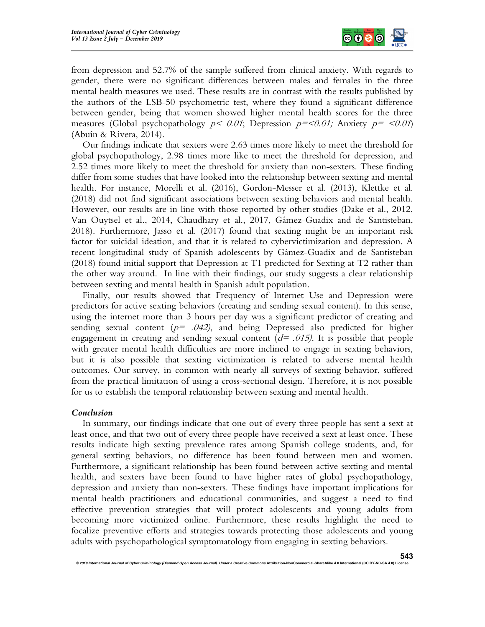

from depression and 52.7% of the sample suffered from clinical anxiety. With regards to gender, there were no significant differences between males and females in the three mental health measures we used. These results are in contrast with the results published by the authors of the LSB-50 psychometric test, where they found a significant difference between gender, being that women showed higher mental health scores for the three measures (Global psychopathology  $p < 0.01$ ; Depression  $p = <0.01$ ; Anxiety  $p = <0.01$ ) (Abuín & Rivera, 2014).

Our findings indicate that sexters were 2.63 times more likely to meet the threshold for global psychopathology, 2.98 times more like to meet the threshold for depression, and 2.52 times more likely to meet the threshold for anxiety than non-sexters. These finding differ from some studies that have looked into the relationship between sexting and mental health. For instance, Morelli et al. (2016), Gordon-Messer et al. (2013), Klettke et al. (2018) did not find significant associations between sexting behaviors and mental health. However, our results are in line with those reported by other studies (Dake et al., 2012, Van Ouytsel et al., 2014, Chaudhary et al., 2017, Gámez-Guadix and de Santisteban, 2018). Furthermore, Jasso et al. (2017) found that sexting might be an important risk factor for suicidal ideation, and that it is related to cybervictimization and depression. A recent longitudinal study of Spanish adolescents by Gámez-Guadix and de Santisteban (2018) found initial support that Depression at T1 predicted for Sexting at T2 rather than the other way around. In line with their findings, our study suggests a clear relationship between sexting and mental health in Spanish adult population.

Finally, our results showed that Frequency of Internet Use and Depression were predictors for active sexting behaviors (creating and sending sexual content). In this sense, using the internet more than 3 hours per day was a significant predictor of creating and sending sexual content ( $p=$  .042), and being Depressed also predicted for higher engagement in creating and sending sexual content  $(d= .015)$ . It is possible that people with greater mental health difficulties are more inclined to engage in sexting behaviors, but it is also possible that sexting victimization is related to adverse mental health outcomes. Our survey, in common with nearly all surveys of sexting behavior, suffered from the practical limitation of using a cross-sectional design. Therefore, it is not possible for us to establish the temporal relationship between sexting and mental health.

## Conclusion

In summary, our findings indicate that one out of every three people has sent a sext at least once, and that two out of every three people have received a sext at least once. These results indicate high sexting prevalence rates among Spanish college students, and, for general sexting behaviors, no difference has been found between men and women. Furthermore, a significant relationship has been found between active sexting and mental health, and sexters have been found to have higher rates of global psychopathology, depression and anxiety than non-sexters. These findings have important implications for mental health practitioners and educational communities, and suggest a need to find effective prevention strategies that will protect adolescents and young adults from becoming more victimized online. Furthermore, these results highlight the need to focalize preventive efforts and strategies towards protecting those adolescents and young adults with psychopathological symptomatology from engaging in sexting behaviors.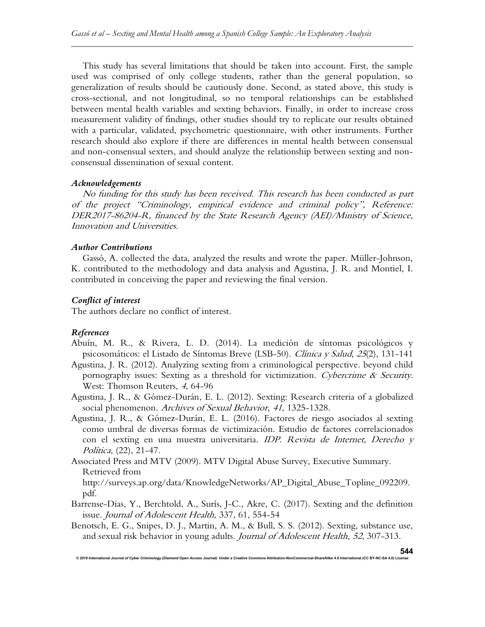This study has several limitations that should be taken into account. First, the sample used was comprised of only college students, rather than the general population, so generalization of results should be cautiously done. Second, as stated above, this study is cross-sectional, and not longitudinal, so no temporal relationships can be established between mental health variables and sexting behaviors. Finally, in order to increase cross measurement validity of findings, other studies should try to replicate our results obtained with a particular, validated, psychometric questionnaire, with other instruments. Further research should also explore if there are differences in mental health between consensual and non-consensual sexters, and should analyze the relationship between sexting and nonconsensual dissemination of sexual content.

## Acknowledgements

No funding for this study has been received. This research has been conducted as part of the project "Criminology, empirical evidence and criminal policy", Reference: DER2017-86204-R, financed by the State Research Agency (AEI)/Ministry of Science, Innovation and Universities.

## Author Contributions

Gassó, A. collected the data, analyzed the results and wrote the paper. Müller-Johnson, K. contributed to the methodology and data analysis and Agustina, J. R. and Montiel, I. contributed in conceiving the paper and reviewing the final version.

## Conflict of interest

The authors declare no conflict of interest.

© 2019 International Journal of Cyber Criminology (Diamond Open Access Journal). Under a Creative Comn

# References

- Abuín, M. R., & Rivera, L. D. (2014). La medición de síntomas psicológicos y psicosomáticos: el Listado de Síntomas Breve (LSB-50). Clínica y Salud, 25(2), 131-141
- Agustina, J. R. (2012). Analyzing sexting from a criminological perspective. beyond child pornography issues: Sexting as a threshold for victimization. Cybercrime & Security. West: Thomson Reuters, 4, 64-96
- Agustina, J. R., & Gómez-Durán, E. L. (2012). Sexting: Research criteria of a globalized social phenomenon. Archives of Sexual Behavior, 41, 1325-1328.
- Agustina, J. R., & Gómez-Durán, E. L. (2016). Factores de riesgo asociados al sexting como umbral de diversas formas de victimización. Estudio de factores correlacionados con el sexting en una muestra universitaria. IDP. Revista de Internet, Derecho y Política, (22), 21-47.
- Associated Press and MTV (2009). MTV Digital Abuse Survey, Executive Summary. Retrieved from http://surveys.ap.org/data/KnowledgeNetworks/AP\_Digital\_Abuse\_Topline\_092209. pdf.
- Barrense-Dias, Y., Berchtold, A., Surís, J-C., Akre, C. (2017). Sexting and the definition issue. Journal of Adolescent Health, 337, 61, 554-54
- Benotsch, E. G., Snipes, D. J., Martin, A. M., & Bull, S. S. (2012). Sexting, substance use, and sexual risk behavior in young adults. Journal of Adolescent Health, 52, 307-313.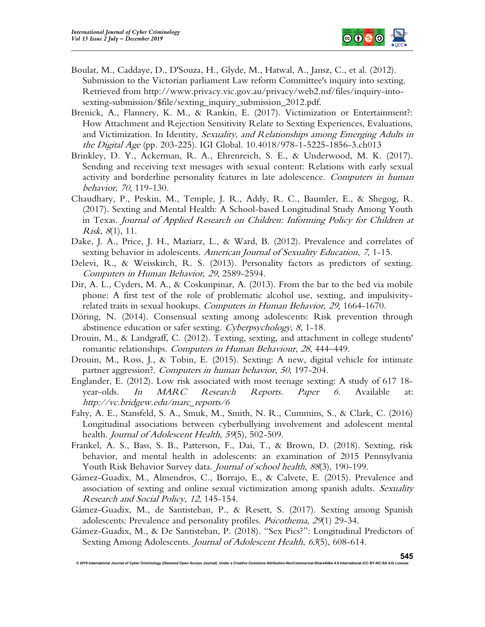

- Boulat, M., Caddaye, D., D'Souza, H., Glyde, M., Hatwal, A., Jansz, C., et al. (2012). Submission to the Victorian parliament Law reform Committee's inquiry into sexting. Retrieved from http://www.privacy.vic.gov.au/privacy/web2.nsf/files/inquiry-intosexting-submission/\$file/sexting\_inquiry\_submission\_2012.pdf.
- Brenick, A., Flannery, K. M., & Rankin, E. (2017). Victimization or Entertainment?: How Attachment and Rejection Sensitivity Relate to Sexting Experiences, Evaluations, and Victimization. In Identity, Sexuality, and Relationships among Emerging Adults in the Digital Age (pp. 203-225). IGI Global. 10.4018/978-1-5225-1856-3.ch013
- Brinkley, D. Y., Ackerman, R. A., Ehrenreich, S. E., & Underwood, M. K. (2017). Sending and receiving text messages with sexual content: Relations with early sexual activity and borderline personality features in late adolescence. Computers in human behavior, 70, 119-130.
- Chaudhary, P., Peskin, M., Temple, J. R., Addy, R. C., Baumler, E., & Shegog, R. (2017). Sexting and Mental Health: A School-based Longitudinal Study Among Youth in Texas. Journal of Applied Research on Children: Informing Policy for Children at *Risk*,  $8(1)$ , 11.
- Dake, J. A., Price, J. H., Maziarz, L., & Ward, B. (2012). Prevalence and correlates of sexting behavior in adolescents. American Journal of Sexuality Education, 7, 1-15.
- Delevi, R., & Weisskirch, R. S. (2013). Personality factors as predictors of sexting. Computers in Human Behavior, <sup>29</sup>, 2589-2594.
- Dir, A. L., Cyders, M. A., & Coskunpinar, A. (2013). From the bar to the bed via mobile phone: A first test of the role of problematic alcohol use, sexting, and impulsivityrelated traits in sexual hookups. Computers in Human Behavior, 29, 1664-1670.
- Döring, N. (2014). Consensual sexting among adolescents: Risk prevention through abstinence education or safer sexting. Cyberpsychology, 8, 1-18.
- Drouin, M., & Landgraff, C. (2012). Texting, sexting, and attachment in college students' romantic relationships. Computers in Human Behaviour, 28, 444–449.
- Drouin, M., Ross, J., & Tobin, E. (2015). Sexting: A new, digital vehicle for intimate partner aggression?. Computers in human behavior, 50, 197-204.
- Englander, E. (2012). Low risk associated with most teenage sexting: A study of 617 18 year-olds. In MARC Research Reports. Paper 6. Available at: http://vc.bridgew.edu/marc\_reports/6
- Fahy, A. E., Stansfeld, S. A., Smuk, M., Smith, N. R., Cummins, S., & Clark, C. (2016) Longitudinal associations between cyberbullying involvement and adolescent mental health. Journal of Adolescent Health, 59(5), 502-509.
- Frankel, A. S., Bass, S. B., Patterson, F., Dai, T., & Brown, D. (2018). Sexting, risk behavior, and mental health in adolescents: an examination of 2015 Pennsylvania Youth Risk Behavior Survey data. Journal of school health, 88(3), 190-199.
- Gámez-Guadix, M., Almendros, C., Borrajo, E., & Calvete, E. (2015). Prevalence and association of sexting and online sexual victimization among spanish adults. Sexuality Research and Social Policy, <sup>12</sup>, 145-154.
- Gámez-Guadix, M., de Santisteban, P., & Resett, S. (2017). Sexting among Spanish adolescents: Prevalence and personality profiles. *Psicothema*, 29(1) 29-34.
- Gámez-Guadix, M., & De Santisteban, P. (2018). "Sex Pics?": Longitudinal Predictors of Sexting Among Adolescents. Journal of Adolescent Health, 63(5), 608-614.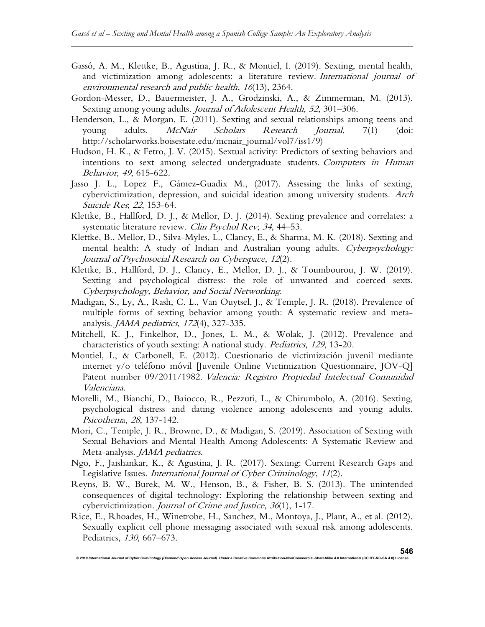- Gassó, A. M., Klettke, B., Agustina, J. R., & Montiel, I. (2019). Sexting, mental health, and victimization among adolescents: a literature review. International journal of environmental research and public health, 16(13), 2364.
- Gordon-Messer, D., Bauermeister, J. A., Grodzinski, A., & Zimmerman, M. (2013). Sexting among young adults. Journal of Adolescent Health, 52, 301–306.
- Henderson, L., & Morgan, E. (2011). Sexting and sexual relationships among teens and young adults. *McNair Scholars Research Journal*, 7(1) (doi: http://scholarworks.boisestate.edu/mcnair\_journal/vol7/iss1/9)
- Hudson, H. K., & Fetro, J. V. (2015). Sextual activity: Predictors of sexting behaviors and intentions to sext among selected undergraduate students. Computers in Human Behavior, 49, 615-622.
- Jasso J. L., Lopez F., Gámez-Guadix M., (2017). Assessing the links of sexting, cybervictimization, depression, and suicidal ideation among university students. Arch Suicide Res; 22, 153-64.
- Klettke, B., Hallford, D. J., & Mellor, D. J. (2014). Sexting prevalence and correlates: a systematic literature review. Clin Psychol Rev; 34, 44–53.
- Klettke, B., Mellor, D., Silva-Myles, L., Clancy, E., & Sharma, M. K. (2018). Sexting and mental health: A study of Indian and Australian young adults. Cyberpsychology: Journal of Psychosocial Research on Cyberspace, 12(2).
- Klettke, B., Hallford, D. J., Clancy, E., Mellor, D. J., & Toumbourou, J. W. (2019). Sexting and psychological distress: the role of unwanted and coerced sexts. Cyberpsychology, Behavior, and Social Networking.
- Madigan, S., Ly, A., Rash, C. L., Van Ouytsel, J., & Temple, J. R. (2018). Prevalence of multiple forms of sexting behavior among youth: A systematic review and metaanalysis. *JAMA pediatrics*, 172(4), 327-335.
- Mitchell, K. J., Finkelhor, D., Jones, L. M., & Wolak, J. (2012). Prevalence and characteristics of youth sexting: A national study. Pediatrics, 129, 13-20.
- Montiel, I., & Carbonell, E. (2012). Cuestionario de victimización juvenil mediante internet y/o teléfono móvil [Juvenile Online Victimization Questionnaire, JOV-Q] Patent number 09/2011/1982. Valencia: Registro Propiedad Intelectual Comunidad Valenciana.
- Morelli, M., Bianchi, D., Baiocco, R., Pezzuti, L., & Chirumbolo, A. (2016). Sexting, psychological distress and dating violence among adolescents and young adults. Psicothema, 28, 137-142.
- Mori, C., Temple, J. R., Browne, D., & Madigan, S. (2019). Association of Sexting with Sexual Behaviors and Mental Health Among Adolescents: A Systematic Review and Meta-analysis. *JAMA pediatrics*.
- Ngo, F., Jaishankar, K., & Agustina, J. R. (2017). Sexting: Current Research Gaps and Legislative Issues. International Journal of Cyber Criminology, 11(2).
- Reyns, B. W., Burek, M. W., Henson, B., & Fisher, B. S. (2013). The unintended consequences of digital technology: Exploring the relationship between sexting and cybervictimization. Journal of Crime and Justice, 36(1), 1-17.
- Rice, E., Rhoades, H., Winetrobe, H., Sanchez, M., Montoya, J., Plant, A., et al. (2012). Sexually explicit cell phone messaging associated with sexual risk among adolescents. Pediatrics, 130, 667–673.

© 2019 International Journal of Cyber Criminology (Diamond Open Access Journal). Under a Creative Com